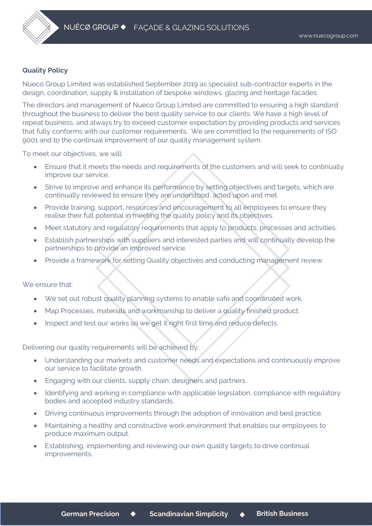

## **Quality Policy**

Nueco Group Limited was established September 2019 as specialist sub-contractor experts in the design, coordination, supply & installation of bespoke windows, glazing and heritage facades.

The directors and management of Nueco Group Limited are committed to ensuring a high standard throughout the business to deliver the best quality service to our clients. We have a high level of repeat business, and always try to exceed customer expectation by providing products and services that fully conforms with our customer requirements. We are committed to the requirements of ISO 9001 and to the continual improvement of our quality management system.

To meet our objectives, we will:

- Ensure that it meets the needs and requirements of the customers and will seek to continually improve our service.
- Strive to improve and enhance its performance by setting objectives and targets, which are continually reviewed to ensure they are understood, acted upon and met.
- Provide training, support, resources and encouragement to all employees to ensure they realise their full potential in meeting the quality policy and its objectives.
- Meet statutory and regulatory requirements that apply to products, processes and activities.
- Establish partnerships with suppliers and interested parties and will continually develop the partnerships to provide an improved service.
- Provide a framework for setting Quality objectives and conducting management review.

We ensure that:

- We set out robust quality planning systems to enable safe and coordinated work.
- Map Processes, materials and workmanship to deliver a quality finished product.
- Inspect and test our works so we get it right first time and reduce defects.

Delivering our quality requirements will be achieved by:

- Understanding our markets and customer needs and expectations and continuously improve our service to facilitate growth.
- Engaging with our clients, supply chain, designers and partners.
- Identifying and working in compliance with applicable legislation, compliance with regulatory bodies and accepted industry standards.
- Driving continuous improvements through the adoption of innovation and best practice.
- Maintaining a healthy and constructive work environment that enables our employees to produce maximum output.
- Establishing, implementing and reviewing our own quality targets to drive continual improvements.